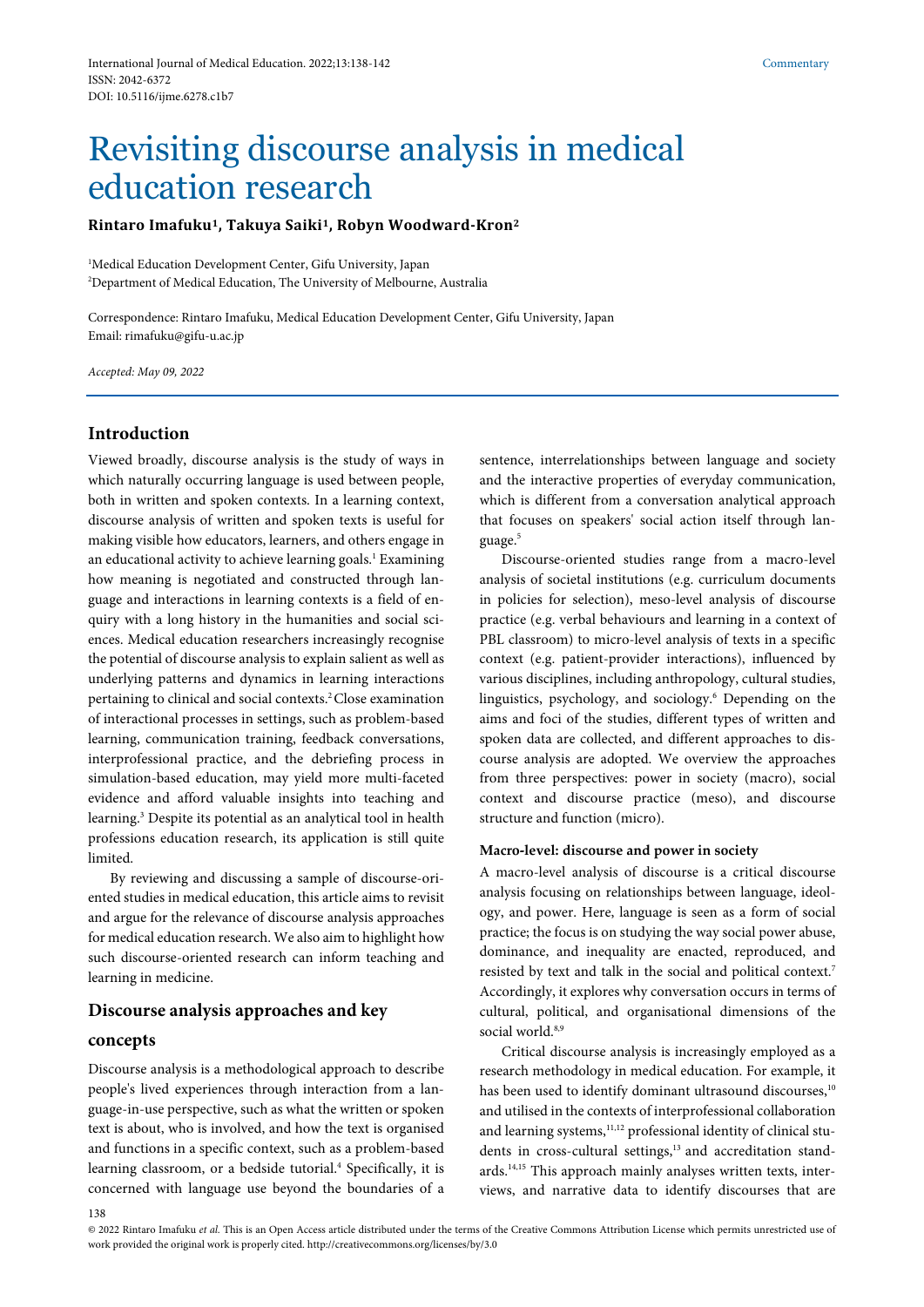# Revisiting discourse analysis in medical education research

**Rintaro Imafuku1, Takuya Saiki1, Robyn Woodward-Kron2**

<sup>1</sup>Medical Education Development Center, Gifu University, Japan 2 Department of Medical Education, The University of Melbourne, Australia

Correspondence: Rintaro Imafuku, Medical Education Development Center, Gifu University, Japan Email: rimafuku@gifu-u.ac.jp

*Accepted: May 09, 2022*

# **Introduction**

Viewed broadly, discourse analysis is the study of ways in which naturally occurring language is used between people, both in written and spoken contexts. In a learning context, discourse analysis of written and spoken texts is useful for making visible how educators, learners, and others engage in an educational activity to achieve learning goals.<sup>1</sup> Examining how meaning is negotiated and constructed through language and interactions in learning contexts is a field of enquiry with a long history in the humanities and social sciences. Medical education researchers increasingly recognise the potential of discourse analysis to explain salient as well as underlying patterns and dynamics in learning interactions pertaining to clinical and social contexts.<sup>2</sup> Close examination of interactional processes in settings, such as problem-based learning, communication training, feedback conversations, interprofessional practice, and the debriefing process in simulation-based education, may yield more multi-faceted evidence and afford valuable insights into teaching and learning.3 Despite its potential as an analytical tool in health professions education research, its application is still quite limited.

By reviewing and discussing a sample of discourse-oriented studies in medical education, this article aims to revisit and argue for the relevance of discourse analysis approaches for medical education research. We also aim to highlight how such discourse-oriented research can inform teaching and learning in medicine.

# **Discourse analysis approaches and key**

### **concepts**

Discourse analysis is a methodological approach to describe people's lived experiences through interaction from a language-in-use perspective, such as what the written or spoken text is about, who is involved, and how the text is organised and functions in a specific context, such as a problem-based learning classroom, or a bedside tutorial.<sup>4</sup> Specifically, it is concerned with language use beyond the boundaries of a

sentence, interrelationships between language and society and the interactive properties of everyday communication, which is different from a conversation analytical approach that focuses on speakers' social action itself through language.<sup>5</sup>

Discourse-oriented studies range from a macro-level analysis of societal institutions (e.g. curriculum documents in policies for selection), meso-level analysis of discourse practice (e.g. verbal behaviours and learning in a context of PBL classroom) to micro-level analysis of texts in a specific context (e.g. patient-provider interactions), influenced by various disciplines, including anthropology, cultural studies, linguistics, psychology, and sociology.6 Depending on the aims and foci of the studies, different types of written and spoken data are collected, and different approaches to discourse analysis are adopted. We overview the approaches from three perspectives: power in society (macro), social context and discourse practice (meso), and discourse structure and function (micro).

# **Macro-level: discourse and power in society**

A macro-level analysis of discourse is a critical discourse analysis focusing on relationships between language, ideology, and power. Here, language is seen as a form of social practice; the focus is on studying the way social power abuse, dominance, and inequality are enacted, reproduced, and resisted by text and talk in the social and political context.7 Accordingly, it explores why conversation occurs in terms of cultural, political, and organisational dimensions of the social world.<sup>8,9</sup>

Critical discourse analysis is increasingly employed as a research methodology in medical education. For example, it has been used to identify dominant ultrasound discourses,<sup>10</sup> and utilised in the contexts of interprofessional collaboration and learning systems,<sup>11,12</sup> professional identity of clinical students in cross-cultural settings,<sup>13</sup> and accreditation standards.14,15 This approach mainly analyses written texts, interviews, and narrative data to identify discourses that are

<sup>© 2022</sup> Rintaro Imafuku *et al.* This is an Open Access article distributed under the terms of the Creative Commons Attribution License which permits unrestricted use of work provided the original work is properly cited. http://creativecommons.org/licenses/by/3.0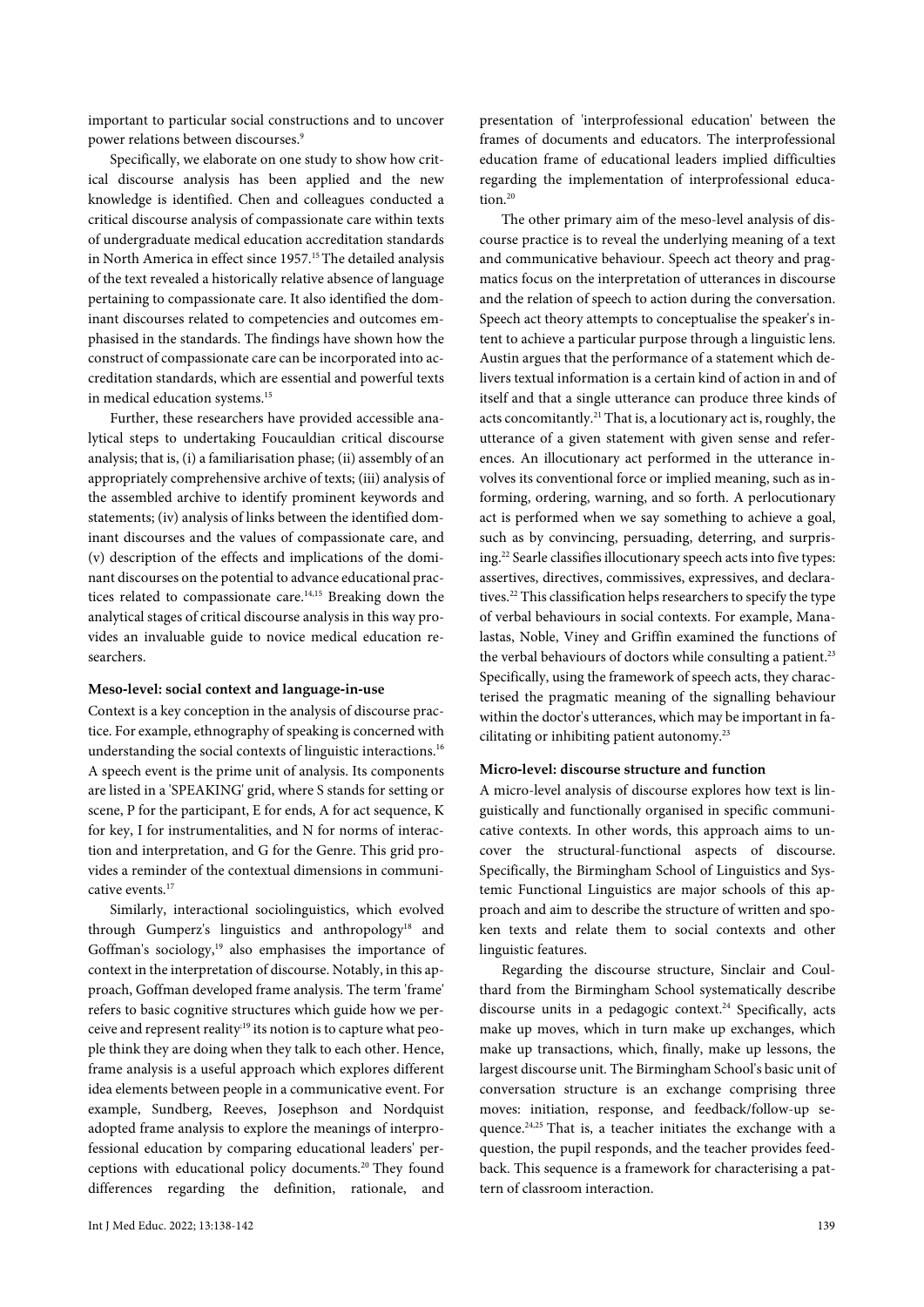important to particular social constructions and to uncover power relations between discourses.<sup>9</sup>

Specifically, we elaborate on one study to show how critical discourse analysis has been applied and the new knowledge is identified. Chen and colleagues conducted a critical discourse analysis of compassionate care within texts of undergraduate medical education accreditation standards in North America in effect since 1957.<sup>15</sup> The detailed analysis of the text revealed a historically relative absence of language pertaining to compassionate care. It also identified the dominant discourses related to competencies and outcomes emphasised in the standards. The findings have shown how the construct of compassionate care can be incorporated into accreditation standards, which are essential and powerful texts in medical education systems.<sup>15</sup>

Further, these researchers have provided accessible analytical steps to undertaking Foucauldian critical discourse analysis; that is, (i) a familiarisation phase; (ii) assembly of an appropriately comprehensive archive of texts; (iii) analysis of the assembled archive to identify prominent keywords and statements; (iv) analysis of links between the identified dominant discourses and the values of compassionate care, and (v) description of the effects and implications of the dominant discourses on the potential to advance educational practices related to compassionate care.<sup>14,15</sup> Breaking down the analytical stages of critical discourse analysis in this way provides an invaluable guide to novice medical education researchers.

## **Meso-level: social context and language-in-use**

Context is a key conception in the analysis of discourse practice. For example, ethnography of speaking is concerned with understanding the social contexts of linguistic interactions.<sup>16</sup> A speech event is the prime unit of analysis. Its components are listed in a 'SPEAKING' grid, where S stands for setting or scene, P for the participant, E for ends, A for act sequence, K for key, I for instrumentalities, and N for norms of interaction and interpretation, and G for the Genre. This grid provides a reminder of the contextual dimensions in communicative events.<sup>17</sup>

Similarly, interactional sociolinguistics, which evolved through Gumperz's linguistics and anthropology<sup>18</sup> and Goffman's sociology,<sup>19</sup> also emphasises the importance of context in the interpretation of discourse. Notably, in this approach, Goffman developed frame analysis. The term 'frame' refers to basic cognitive structures which guide how we perceive and represent reality;19 its notion is to capture what people think they are doing when they talk to each other. Hence, frame analysis is a useful approach which explores different idea elements between people in a communicative event. For example, Sundberg, Reeves, Josephson and Nordquist adopted frame analysis to explore the meanings of interprofessional education by comparing educational leaders' perceptions with educational policy documents.20 They found differences regarding the definition, rationale, and

presentation of 'interprofessional education' between the frames of documents and educators. The interprofessional education frame of educational leaders implied difficulties regarding the implementation of interprofessional education.<sup>20</sup>

The other primary aim of the meso-level analysis of discourse practice is to reveal the underlying meaning of a text and communicative behaviour. Speech act theory and pragmatics focus on the interpretation of utterances in discourse and the relation of speech to action during the conversation. Speech act theory attempts to conceptualise the speaker's intent to achieve a particular purpose through a linguistic lens. Austin argues that the performance of a statement which delivers textual information is a certain kind of action in and of itself and that a single utterance can produce three kinds of acts concomitantly.21 That is, a locutionary act is, roughly, the utterance of a given statement with given sense and references. An illocutionary act performed in the utterance involves its conventional force or implied meaning, such as informing, ordering, warning, and so forth. A perlocutionary act is performed when we say something to achieve a goal, such as by convincing, persuading, deterring, and surprising.22 Searle classifies illocutionary speech acts into five types: assertives, directives, commissives, expressives, and declaratives.<sup>22</sup> This classification helps researchers to specify the type of verbal behaviours in social contexts. For example, Manalastas, Noble, Viney and Griffin examined the functions of the verbal behaviours of doctors while consulting a patient.<sup>23</sup> Specifically, using the framework of speech acts, they characterised the pragmatic meaning of the signalling behaviour within the doctor's utterances, which may be important in facilitating or inhibiting patient autonomy.<sup>23</sup>

#### **Micro-level: discourse structure and function**

A micro-level analysis of discourse explores how text is linguistically and functionally organised in specific communicative contexts. In other words, this approach aims to uncover the structural-functional aspects of discourse. Specifically, the Birmingham School of Linguistics and Systemic Functional Linguistics are major schools of this approach and aim to describe the structure of written and spoken texts and relate them to social contexts and other linguistic features.

Regarding the discourse structure, Sinclair and Coulthard from the Birmingham School systematically describe discourse units in a pedagogic context.<sup>24</sup> Specifically, acts make up moves, which in turn make up exchanges, which make up transactions, which, finally, make up lessons, the largest discourse unit. The Birmingham School's basic unit of conversation structure is an exchange comprising three moves: initiation, response, and feedback/follow-up sequence.<sup>24,25</sup> That is, a teacher initiates the exchange with a question, the pupil responds, and the teacher provides feedback. This sequence is a framework for characterising a pattern of classroom interaction.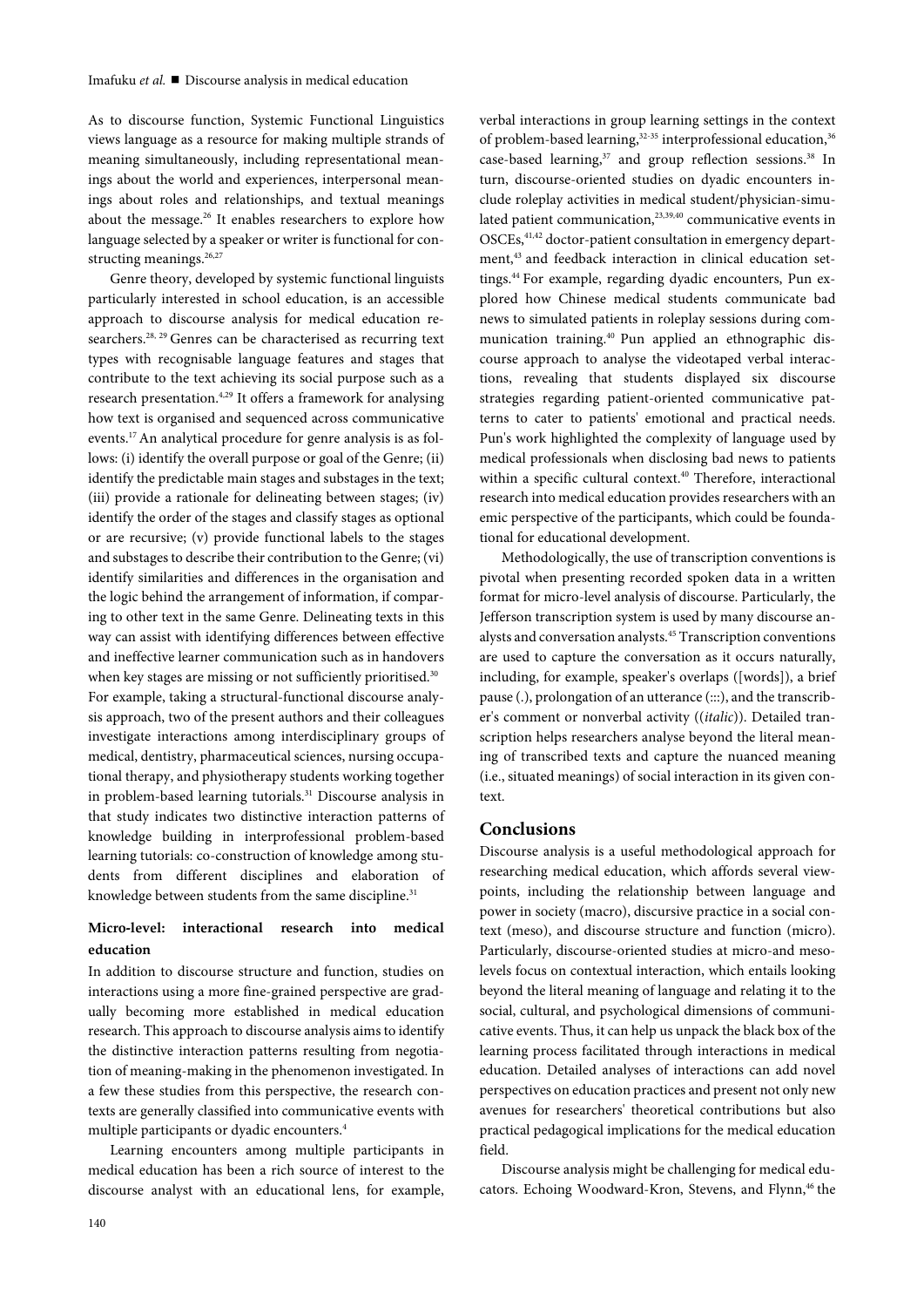As to discourse function, Systemic Functional Linguistics views language as a resource for making multiple strands of meaning simultaneously, including representational meanings about the world and experiences, interpersonal meanings about roles and relationships, and textual meanings about the message.<sup>26</sup> It enables researchers to explore how language selected by a speaker or writer is functional for constructing meanings.<sup>26,27</sup>

Genre theory, developed by systemic functional linguists particularly interested in school education, is an accessible approach to discourse analysis for medical education researchers.<sup>28, 29</sup> Genres can be characterised as recurring text types with recognisable language features and stages that contribute to the text achieving its social purpose such as a research presentation.<sup>4,29</sup> It offers a framework for analysing how text is organised and sequenced across communicative events.17 An analytical procedure for genre analysis is as follows: (i) identify the overall purpose or goal of the Genre; (ii) identify the predictable main stages and substages in the text; (iii) provide a rationale for delineating between stages; (iv) identify the order of the stages and classify stages as optional or are recursive; (v) provide functional labels to the stages and substages to describe their contribution to the Genre; (vi) identify similarities and differences in the organisation and the logic behind the arrangement of information, if comparing to other text in the same Genre. Delineating texts in this way can assist with identifying differences between effective and ineffective learner communication such as in handovers when key stages are missing or not sufficiently prioritised.<sup>30</sup> For example, taking a structural-functional discourse analysis approach, two of the present authors and their colleagues investigate interactions among interdisciplinary groups of medical, dentistry, pharmaceutical sciences, nursing occupational therapy, and physiotherapy students working together in problem-based learning tutorials.<sup>31</sup> Discourse analysis in that study indicates two distinctive interaction patterns of knowledge building in interprofessional problem-based learning tutorials: co-construction of knowledge among students from different disciplines and elaboration of knowledge between students from the same discipline.<sup>31</sup>

# **Micro-level: interactional research into medical education**

In addition to discourse structure and function, studies on interactions using a more fine-grained perspective are gradually becoming more established in medical education research. This approach to discourse analysis aims to identify the distinctive interaction patterns resulting from negotiation of meaning-making in the phenomenon investigated. In a few these studies from this perspective, the research contexts are generally classified into communicative events with multiple participants or dyadic encounters.4

Learning encounters among multiple participants in medical education has been a rich source of interest to the discourse analyst with an educational lens, for example,

verbal interactions in group learning settings in the context of problem-based learning,<sup>32-35</sup> interprofessional education,<sup>36</sup> case-based learning,<sup>37</sup> and group reflection sessions.<sup>38</sup> In turn, discourse-oriented studies on dyadic encounters include roleplay activities in medical student/physician-simulated patient communication,<sup>23,39,40</sup> communicative events in OSCEs,<sup>41,42</sup> doctor-patient consultation in emergency department,<sup>43</sup> and feedback interaction in clinical education settings.44 For example, regarding dyadic encounters, Pun explored how Chinese medical students communicate bad news to simulated patients in roleplay sessions during communication training.40 Pun applied an ethnographic discourse approach to analyse the videotaped verbal interactions, revealing that students displayed six discourse strategies regarding patient-oriented communicative patterns to cater to patients' emotional and practical needs. Pun's work highlighted the complexity of language used by medical professionals when disclosing bad news to patients within a specific cultural context.<sup>40</sup> Therefore, interactional research into medical education provides researchers with an emic perspective of the participants, which could be foundational for educational development.

Methodologically, the use of transcription conventions is pivotal when presenting recorded spoken data in a written format for micro-level analysis of discourse. Particularly, the Jefferson transcription system is used by many discourse analysts and conversation analysts.45 Transcription conventions are used to capture the conversation as it occurs naturally, including, for example, speaker's overlaps ([words]), a brief pause (.), prolongation of an utterance (:::), and the transcriber's comment or nonverbal activity ((*italic*)). Detailed transcription helps researchers analyse beyond the literal meaning of transcribed texts and capture the nuanced meaning (i.e., situated meanings) of social interaction in its given context.

# **Conclusions**

Discourse analysis is a useful methodological approach for researching medical education, which affords several viewpoints, including the relationship between language and power in society (macro), discursive practice in a social context (meso), and discourse structure and function (micro). Particularly, discourse-oriented studies at micro-and mesolevels focus on contextual interaction, which entails looking beyond the literal meaning of language and relating it to the social, cultural, and psychological dimensions of communicative events. Thus, it can help us unpack the black box of the learning process facilitated through interactions in medical education. Detailed analyses of interactions can add novel perspectives on education practices and present not only new avenues for researchers' theoretical contributions but also practical pedagogical implications for the medical education field.

Discourse analysis might be challenging for medical educators. Echoing Woodward-Kron, Stevens, and Flynn,<sup>46</sup> the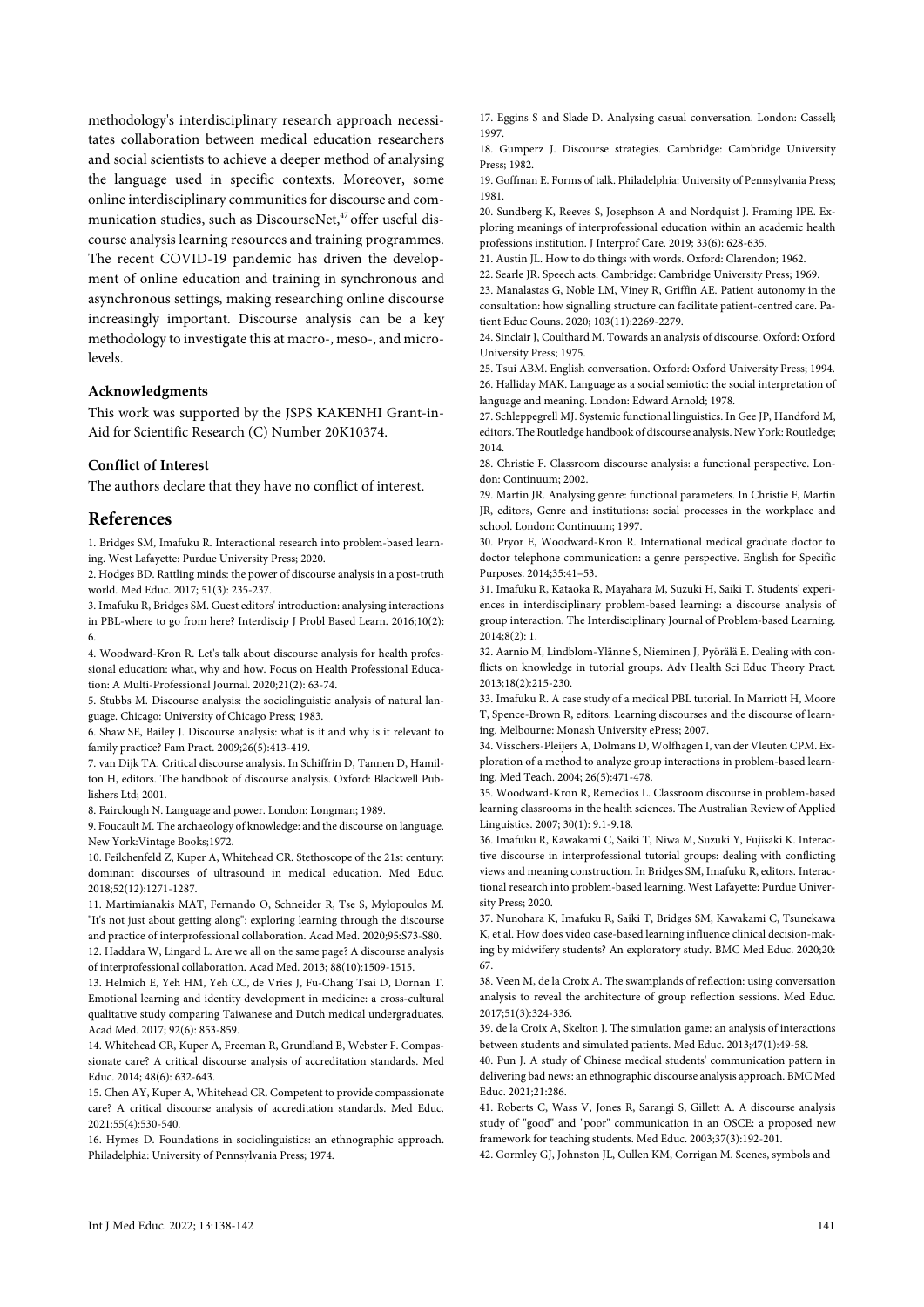methodology's interdisciplinary research approach necessitates collaboration between medical education researchers and social scientists to achieve a deeper method of analysing the language used in specific contexts. Moreover, some online interdisciplinary communities for discourse and communication studies, such as DiscourseNet,<sup>47</sup> offer useful discourse analysis learning resources and training programmes. The recent COVID-19 pandemic has driven the development of online education and training in synchronous and asynchronous settings, making researching online discourse increasingly important. Discourse analysis can be a key methodology to investigate this at macro-, meso-, and microlevels.

#### **Acknowledgments**

This work was supported by the JSPS KAKENHI Grant-in-Aid for Scientific Research (C) Number 20K10374.

### **Conflict of Interest**

The authors declare that they have no conflict of interest.

## **References**

1. Bridges SM, Imafuku R. Interactional research into problem-based learning. West Lafayette: Purdue University Press; 2020.

2. Hodges BD. Rattling minds: the power of discourse analysis in a post‐truth world. Med Educ. 2017; 51(3): 235-237.

3. Imafuku R, Bridges SM. Guest editors' introduction: analysing interactions in PBL-where to go from here? Interdiscip J Probl Based Learn. 2016;10(2): 6.

4. Woodward-Kron R. Let's talk about discourse analysis for health professional education: what, why and how. Focus on Health Professional Education: A Multi-Professional Journal. 2020;21(2): 63-74.

5. Stubbs M. Discourse analysis: the sociolinguistic analysis of natural language. Chicago: University of Chicago Press; 1983.

6. Shaw SE, Bailey J. Discourse analysis: what is it and why is it relevant to family practice? Fam Pract. 2009;26(5):413-419.

7. van Dijk TA. Critical discourse analysis. In Schiffrin D, Tannen D, Hamilton H, editors. The handbook of discourse analysis. Oxford: Blackwell Publishers Ltd: 2001

8. Fairclough N. Language and power. London: Longman; 1989.

9. Foucault M. The archaeology of knowledge: and the discourse on language. New York:Vintage Books;1972.

10. Feilchenfeld Z, Kuper A, Whitehead CR. Stethoscope of the 21st century: dominant discourses of ultrasound in medical education. Med Educ. 2018;52(12):1271-1287.

11. Martimianakis MAT, Fernando O, Schneider R, Tse S, Mylopoulos M. "It's not just about getting along": exploring learning through the discourse and practice of interprofessional collaboration. Acad Med. 2020;95:S73-S80.

12. Haddara W, Lingard L. Are we all on the same page? A discourse analysis of interprofessional collaboration. Acad Med. 2013; 88(10):1509-1515.

13. Helmich E, Yeh HM, Yeh CC, de Vries J, Fu-Chang Tsai D, Dornan T. Emotional learning and identity development in medicine: a cross-cultural qualitative study comparing Taiwanese and Dutch medical undergraduates. Acad Med. 2017; 92(6): 853-859.

14. Whitehead CR, Kuper A, Freeman R, Grundland B, Webster F. Compassionate care? A critical discourse analysis of accreditation standards. Med Educ. 2014; 48(6): 632-643.

15. Chen AY, Kuper A, Whitehead CR. Competent to provide compassionate care? A critical discourse analysis of accreditation standards. Med Educ. 2021;55(4):530-540.

16. Hymes D. Foundations in sociolinguistics: an ethnographic approach. Philadelphia: University of Pennsylvania Press; 1974.

17. Eggins S and Slade D. Analysing casual conversation. London: Cassell; 1997.

18. Gumperz J. Discourse strategies. Cambridge: Cambridge University Press; 1982.

19. Goffman E. Forms of talk. Philadelphia: University of Pennsylvania Press; 1981.

20. Sundberg K, Reeves S, Josephson A and Nordquist J. Framing IPE. Exploring meanings of interprofessional education within an academic health professions institution. J Interprof Care. 2019; 33(6): 628-635.

21. Austin JL. How to do things with words. Oxford: Clarendon; 1962.

22. Searle JR. Speech acts. Cambridge: Cambridge University Press; 1969.

23. Manalastas G, Noble LM, Viney R, Griffin AE. Patient autonomy in the consultation: how signalling structure can facilitate patient-centred care. Patient Educ Couns. 2020; 103(11):2269-2279.

24. Sinclair J, Coulthard M. Towards an analysis of discourse. Oxford: Oxford University Press; 1975.

25. Tsui ABM. English conversation. Oxford: Oxford University Press; 1994. 26. Halliday MAK. Language as a social semiotic: the social interpretation of language and meaning. London: Edward Arnold; 1978.

27. Schleppegrell MJ. Systemic functional linguistics. In Gee JP, Handford M, editors. The Routledge handbook of discourse analysis. New York: Routledge; 2014.

28. Christie F. Classroom discourse analysis: a functional perspective. London: Continuum; 2002.

29. Martin JR. Analysing genre: functional parameters. In Christie F, Martin JR, editors, Genre and institutions: social processes in the workplace and school. London: Continuum; 1997.

30. Pryor E, Woodward-Kron R. International medical graduate doctor to doctor telephone communication: a genre perspective. English for Specific Purposes. 2014;35:41–53.

31. Imafuku R, Kataoka R, Mayahara M, Suzuki H, Saiki T. Students' experiences in interdisciplinary problem-based learning: a discourse analysis of group interaction. The Interdisciplinary Journal of Problem-based Learning. 2014;8(2): 1.

32. Aarnio M, Lindblom-Ylänne S, Nieminen J, Pyörälä E. Dealing with conflicts on knowledge in tutorial groups. Adv Health Sci Educ Theory Pract. 2013;18(2):215-230.

33. Imafuku R. A case study of a medical PBL tutorial. In Marriott H, Moore T, Spence-Brown R, editors. Learning discourses and the discourse of learning. Melbourne: Monash University ePress; 2007.

34. Visschers-Pleijers A, Dolmans D, Wolfhagen I, van der Vleuten CPM. Exploration of a method to analyze group interactions in problem-based learning. Med Teach. 2004; 26(5):471-478.

35. Woodward-Kron R, Remedios L. Classroom discourse in problem-based learning classrooms in the health sciences. The Australian Review of Applied Linguistics. 2007; 30(1): 9.1-9.18.

36. Imafuku R, Kawakami C, Saiki T, Niwa M, Suzuki Y, Fujisaki K. Interactive discourse in interprofessional tutorial groups: dealing with conflicting views and meaning construction. In Bridges SM, Imafuku R, editors. Interactional research into problem-based learning. West Lafayette: Purdue University Press; 2020.

37. Nunohara K, Imafuku R, Saiki T, Bridges SM, Kawakami C, Tsunekawa K, et al. How does video case-based learning influence clinical decision-making by midwifery students? An exploratory study. BMC Med Educ. 2020;20: 67.

38. Veen M, de la Croix A. The swamplands of reflection: using conversation analysis to reveal the architecture of group reflection sessions. Med Educ. 2017;51(3):324-336.

39. de la Croix A, Skelton J. The simulation game: an analysis of interactions between students and simulated patients. Med Educ. 2013;47(1):49-58.

40. Pun J. A study of Chinese medical students' communication pattern in delivering bad news: an ethnographic discourse analysis approach. BMC Med Educ. 2021;21:286.

41. Roberts C, Wass V, Jones R, Sarangi S, Gillett A. A discourse analysis study of "good" and "poor" communication in an OSCE: a proposed new framework for teaching students. Med Educ. 2003;37(3):192-201.

42. Gormley GJ, Johnston JL, Cullen KM, Corrigan M. Scenes, symbols and